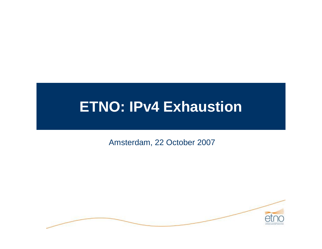# **ETNO: IPv4 Exhaustion**

Amsterdam, 22 October 2007

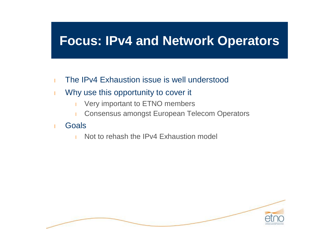#### **Focus: IPv4 and Network Operators**

- <sup>l</sup> The IPv4 Exhaustion issue is well understood
- **I** Why use this opportunity to cover it
	- **I** Very important to ETNO members
	- **I** Consensus amongst European Telecom Operators
- <sup>l</sup> Goals
	- **I** Not to rehash the IPv4 Exhaustion model

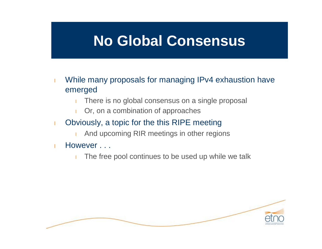#### **No Global Consensus**

- **I** While many proposals for managing IPv4 exhaustion have emerged
	- There is no global consensus on a single proposal
	- **l** Or, on a combination of approaches
- **I** Obviously, a topic for the this RIPE meeting
	- **I** And upcoming RIR meetings in other regions
- l However ...
	- The free pool continues to be used up while we talk

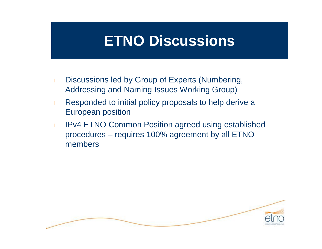### **ETNO Discussions**

- **I** Discussions led by Group of Experts (Numbering, Addressing and Naming Issues Working Group)
- **Responded to initial policy proposals to help derive a** European position
- **I** IPv4 ETNO Common Position agreed using established procedures – requires 100% agreement by all ETNO members

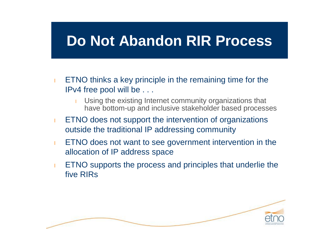### **Do Not Abandon RIR Process**

- **ETNO thinks a key principle in the remaining time for the** IPv4 free pool will be . . .
	- **I** Using the existing Internet community organizations that have bottom-up and inclusive stakeholder based processes
- **ETNO does not support the intervention of organizations** outside the traditional IP addressing community
- **ETNO does not want to see government intervention in the** allocation of IP address space
- **ETNO supports the process and principles that underlie the** five RIRs

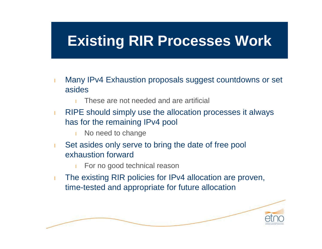## **Existing RIR Processes Work**

- **I** Many IPv4 Exhaustion proposals suggest countdowns or set asides
	- These are not needed and are artificial
- **RIPE should simply use the allocation processes it always** has for the remaining IPv4 pool
	- I No need to change
- **I** Set asides only serve to bring the date of free pool exhaustion forward
	- For no good technical reason
- **I** The existing RIR policies for IPv4 allocation are proven, time-tested and appropriate for future allocation

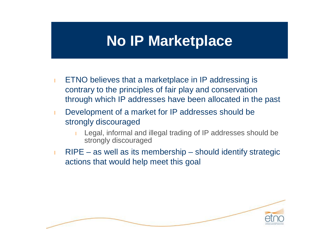#### **No IP Marketplace**

- **ETNO believes that a marketplace in IP addressing is** contrary to the principles of fair play and conservation through which IP addresses have been allocated in the past
- **I** Development of a market for IP addresses should be strongly discouraged
	- <sup>l</sup> Legal, informal and illegal trading of IP addresses should be strongly discouraged
- **RIPE as well as its membership should identify strategic** actions that would help meet this goal

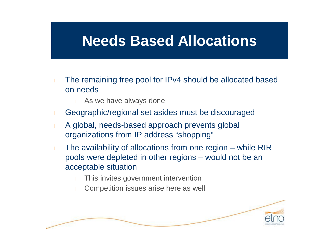#### **Needs Based Allocations**

- **I** The remaining free pool for IPv4 should be allocated based on needs
	- $\blacksquare$  As we have always done
- <sup>l</sup> Geographic/regional set asides must be discouraged
- <sup>l</sup> A global, needs-based approach prevents global organizations from IP address "shopping"
- **I** The availability of allocations from one region while RIR pools were depleted in other regions – would not be an acceptable situation
	- This invites government intervention
	- **I** Competition issues arise here as well

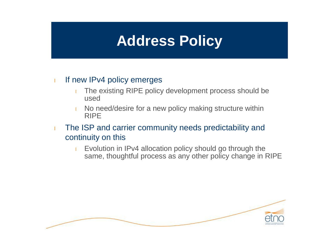## **Address Policy**

#### I If new IPv4 policy emerges

- **I** The existing RIPE policy development process should be used
- I No need/desire for a new policy making structure within RIPE
- **I** The ISP and carrier community needs predictability and continuity on this
	- **I** Evolution in IPv4 allocation policy should go through the same, thoughtful process as any other policy change in RIPE

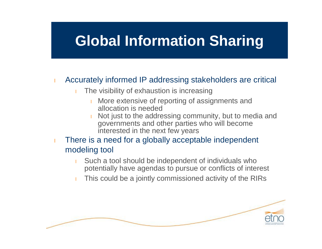## **Global Information Sharing**

#### **I** Accurately informed IP addressing stakeholders are critical

- The visibility of exhaustion is increasing
	- More extensive of reporting of assignments and allocation is needed
	- Not just to the addressing community, but to media and governments and other parties who will become interested in the next few years
- $\blacksquare$  There is a need for a globally acceptable independent modeling tool
	- Such a tool should be independent of individuals who potentially have agendas to pursue or conflicts of interest
	- This could be a jointly commissioned activity of the RIRs

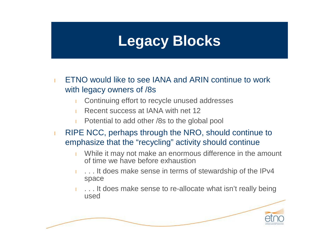# **Legacy Blocks**

- <sup>l</sup> ETNO would like to see IANA and ARIN continue to work with legacy owners of /8s
	- Continuing effort to recycle unused addresses
	- **Recent success at IANA with net 12**
	- **Potential to add other /8s to the global pool**
- **RIPE NCC, perhaps through the NRO, should continue to** emphasize that the "recycling" activity should continue
	- I While it may not make an enormous difference in the amount of time we have before exhaustion
	- ... It does make sense in terms of stewardship of the IPv4 space
	- ... It does make sense to re-allocate what isn't really being used

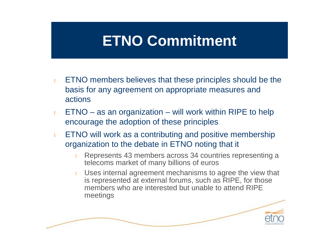# **ETNO Commitment**

- **ETNO members believes that these principles should be the** basis for any agreement on appropriate measures and actions
- $ETNO as$  an organization will work within RIPE to help encourage the adoption of these principles
- **ETNO will work as a contributing and positive membership** organization to the debate in ETNO noting that it
	- Represents 43 members across 34 countries representing a telecoms market of many billions of euros
	- Uses internal agreement mechanisms to agree the view that is represented at external forums, such as RIPE, for those members who are interested but unable to attend RIPE meetings